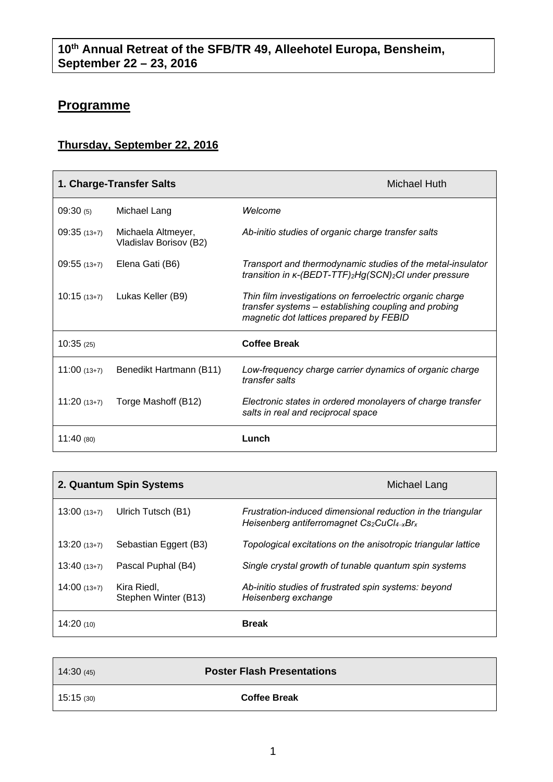## **Programme**

## **Thursday, September 22, 2016**

| 1. Charge-Transfer Salts |                                              | Michael Huth                                                                                                                                                |
|--------------------------|----------------------------------------------|-------------------------------------------------------------------------------------------------------------------------------------------------------------|
| 09:30(5)                 | Michael Lang                                 | Welcome                                                                                                                                                     |
| $09:35(13+7)$            | Michaela Altmeyer,<br>Vladislav Borisov (B2) | Ab-initio studies of organic charge transfer salts                                                                                                          |
| $09:55(13+7)$            | Elena Gati (B6)                              | Transport and thermodynamic studies of the metal-insulator<br>transition in K-(BEDT-TTF)2Hg(SCN)2CI under pressure                                          |
| $10:15(13+7)$            | Lukas Keller (B9)                            | Thin film investigations on ferroelectric organic charge<br>transfer systems – establishing coupling and probing<br>magnetic dot lattices prepared by FEBID |
| 10:35(25)                |                                              | <b>Coffee Break</b>                                                                                                                                         |
| $11:00(13+7)$            | Benedikt Hartmann (B11)                      | Low-frequency charge carrier dynamics of organic charge<br>transfer salts                                                                                   |
| $11:20(13+7)$            | Torge Mashoff (B12)                          | Electronic states in ordered monolayers of charge transfer<br>salts in real and reciprocal space                                                            |
| 11:40(80)                |                                              | Lunch                                                                                                                                                       |

|               | 2. Quantum Spin Systems             | Michael Lang                                                                                                     |
|---------------|-------------------------------------|------------------------------------------------------------------------------------------------------------------|
| $13:00(13+7)$ | Ulrich Tutsch (B1)                  | Frustration-induced dimensional reduction in the triangular<br>Heisenberg antiferromagnet $Cs_2CuCl_{4-x}Br_{x}$ |
| $13:20(13+7)$ | Sebastian Eggert (B3)               | Topological excitations on the anisotropic triangular lattice                                                    |
| $13:40(13+7)$ | Pascal Puphal (B4)                  | Single crystal growth of tunable quantum spin systems                                                            |
| $14:00(13+7)$ | Kira Riedl,<br>Stephen Winter (B13) | Ab-initio studies of frustrated spin systems: beyond<br>Heisenberg exchange                                      |
| 14:20(10)     |                                     | <b>Break</b>                                                                                                     |

| 14:30(45) | <b>Poster Flash Presentations</b> |
|-----------|-----------------------------------|
| 15:15(30) | <b>Coffee Break</b>               |